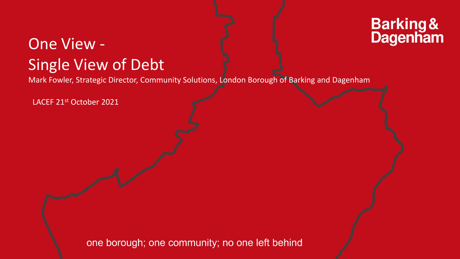# **Barking &<br>Dagenham**

#### One View - Single View of Debt

Mark Fowler, Strategic Director, Community Solutions, London Borough of Barking and Dagenham

LACEF 21st October 2021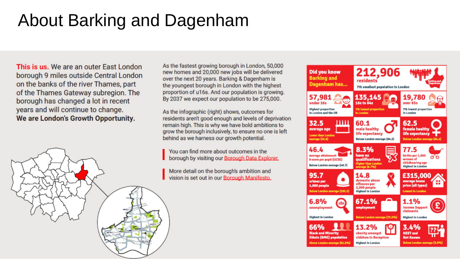### About Barking and Dagenham

This is us. We are an outer East London borough 9 miles outside Central London on the banks of the river Thames, part of the Thames Gateway subregion. The borough has changed a lot in recent years and will continue to change. We are London's Growth Opportunity.



As the fastest growing borough in London, 50,000 new homes and 20,000 new jobs will be delivered over the next 20 years. Barking & Dagenham is the youngest borough in London with the highest proportion of u16s. And our population is growing. By 2037 we expect our population to be 275,000.

As the infographic (right) shows, outcomes for residents aren't good enough and levels of deprivation remain high. This is why we have bold ambitions to grow the borough inclusively, to ensure no one is left behind as we harness our growth potential.

You can find more about outcomes in the borough by visiting our Borough Data Explorer.

More detail on the borough's ambition and vision is set out in our Borough Manifesto.

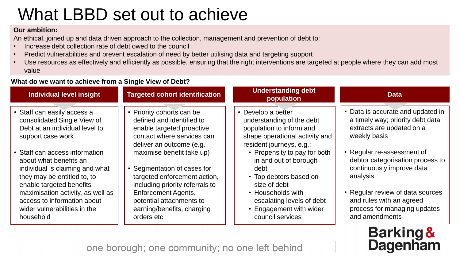### What LBBD set out to achieve

#### **Our ambition:**

An ethical, joined up and data driven approach to the collection, management and prevention of debt to:

- Increase debt collection rate of debt owed to the council
- Predict vulnerabilities and prevent escalation of need by better utilising data and targeting support
- Use resources as effectively and efficiently as possible, ensuring that the right interventions are targeted at people where they can add most value

#### **What do we want to achieve from a Single View of Debt?**

| <b>Individual level insight</b>                                                                                                                                                                                                                                                                                                                                                              | <b>Targeted cohort identification</b>                                                                                                                                                                                                                                                                                                                                              | <b>Understanding debt</b><br>population                                                                                                                                                                                                                                                                                                               | <b>Data</b>                                                                                                                                                                                                                                                                                                                                     |
|----------------------------------------------------------------------------------------------------------------------------------------------------------------------------------------------------------------------------------------------------------------------------------------------------------------------------------------------------------------------------------------------|------------------------------------------------------------------------------------------------------------------------------------------------------------------------------------------------------------------------------------------------------------------------------------------------------------------------------------------------------------------------------------|-------------------------------------------------------------------------------------------------------------------------------------------------------------------------------------------------------------------------------------------------------------------------------------------------------------------------------------------------------|-------------------------------------------------------------------------------------------------------------------------------------------------------------------------------------------------------------------------------------------------------------------------------------------------------------------------------------------------|
| • Staff can easily access a<br>consolidated Single View of<br>Debt at an individual level to<br>support case work<br>• Staff can access information<br>about what benefits an<br>individual is claiming and what<br>they may be entitled to, to<br>enable targeted benefits<br>maximisation activity, as well as<br>access to information about<br>wider vulnerabilities in the<br>household | • Priority cohorts can be<br>defined and identified to<br>enable targeted proactive<br>contact where services can<br>deliver an outcome (e.g.<br>maximise benefit take up)<br>• Segmentation of cases for<br>targeted enforcement action,<br>including priority referrals to<br><b>Enforcement Agents,</b><br>potential attachments to<br>earning/benefits, charging<br>orders etc | • Develop a better<br>understanding of the debt<br>population to inform and<br>shape operational activity and<br>resident journeys, e.g.:<br>• Propensity to pay for both<br>in and out of borough<br>debt<br>• Top debtors based on<br>size of debt<br>• Households with<br>escalating levels of debt<br>• Engagement with wider<br>council services | • Data is accurate and updated in<br>a timely way; priority debt data<br>extracts are updated on a<br>weekly basis<br>• Regular re-assessment of<br>debtor categorisation process to<br>continuously improve data<br>analysis<br>• Regular review of data sources<br>and rules with an agreed<br>process for managing updates<br>and amendments |
|                                                                                                                                                                                                                                                                                                                                                                                              |                                                                                                                                                                                                                                                                                                                                                                                    |                                                                                                                                                                                                                                                                                                                                                       |                                                                                                                                                                                                                                                                                                                                                 |

## **Barking &<br>Dagenham**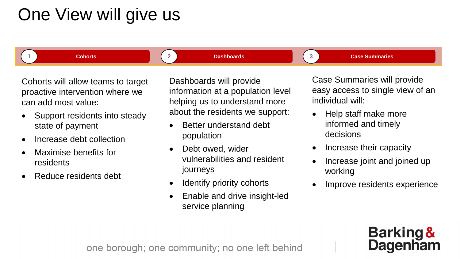### One View will give us

**1 Cohorts 2 Dashboards 3 Case Summaries**

Cohorts will allow teams to target proactive intervention where we can add most value:

- Support residents into steady state of payment
- Increase debt collection
- Maximise benefits for residents
- Reduce residents debt

Dashboards will provide information at a population level helping us to understand more about the residents we support:

- Better understand debt population
- Debt owed, wider vulnerabilities and resident journeys
- Identify priority cohorts
- Enable and drive insight-led service planning

Case Summaries will provide easy access to single view of an individual will:

- Help staff make more informed and timely decisions
- Increase their capacity
- Increase joint and joined up working
- Improve residents experience

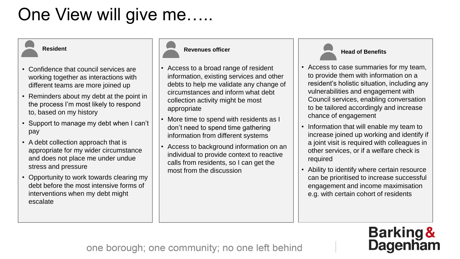### One View will give me.....

- Confidence that council services are working together as interactions with different teams are more joined up
- Reminders about my debt at the point in the process I'm most likely to respond to, based on my history
- Support to manage my debt when I can't pay
- A debt collection approach that is appropriate for my wider circumstance and does not place me under undue stress and pressure
- Opportunity to work towards clearing my debt before the most intensive forms of interventions when my debt might escalate



- Access to a broad range of resident information, existing services and other debts to help me validate any change of circumstances and inform what debt collection activity might be most appropriate
- More time to spend with residents as I don't need to spend time gathering information from different systems
- Access to background information on an individual to provide context to reactive calls from residents, so I can get the most from the discussion

#### **Head of Benefits**

- Access to case summaries for my team, to provide them with information on a resident's holistic situation, including any vulnerabilities and engagement with Council services, enabling conversation to be tailored accordingly and increase chance of engagement
- Information that will enable my team to increase joined up working and identify if a joint visit is required with colleagues in other services, or if a welfare check is required
- Ability to identify where certain resource can be prioritised to increase successful engagement and income maximisation e.g. with certain cohort of residents

# **Barking &<br>Dagenham**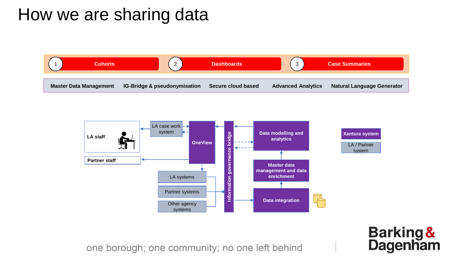#### How we are sharing data





**Barking &<br>Dagenham**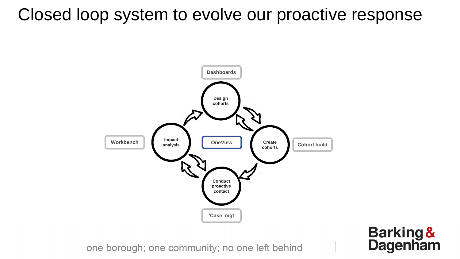#### Closed loop system to evolve our proactive response



**Barking &<br>Dagenham**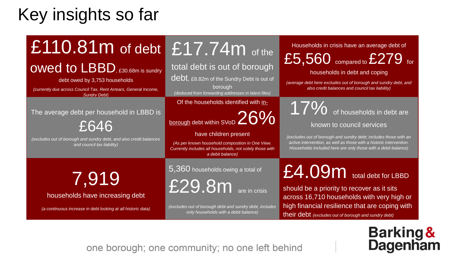### Key insights so far

## £110.81 m of debt £17.74 m of the

OWed to LBBD, £30.68m is sundry

debt owed by 3,753 households

*(currently due across Council Tax, Rent Arrears, General Income, Sundry Debt)*

#### The average debt per household in LBBD is

£646

*(excludes out of borough and sundry debt, and also credit balances and council tax liability)*

total debt is out of borough debt, £8.82m of the Sundry Debt is out of

borough *(deduced from forwarding addresses in latest files)*

Of the households identified with in-

### borough debt within SVoD 26%

have children present

*(As per known household composition in One View. Currently includes all households, not solely those with a debit balance)*

7,919

households have increasing debt

*(a continuous increase in debt looking at all historic data)*

5,360 households owing a total of

 $E29.8m$  are in crisis i

*(excludes out of borough debt and sundry debt, includes only households with a debit balance)*

#### Households in crisis have an average debt of

£5,560 compared to £279 for

households in debt and coping

*(average debt here excludes out of borough and sundry debt, and also credit balances and council tax liability)*

17% of households in debt are

#### known to council services

*(excludes out of borough and sundry debt; includes those with an active intervention, as well as those with a historic intervention. Households included here are only those with a debit balance)*

#### £4.09m total debt for LBBD

should be a priority to recover as it sits across 16,710 households with very high or high financial resilience that are coping with their debt *(excludes out of borough and sundry debt)*

#### **Barking & Dagenham**